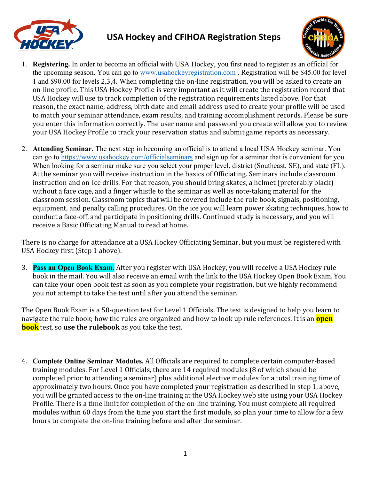

## **USA Hockey and CFIHOA Registration Steps**



- 1. **Registering.** In order to become an official with USA Hockey, you first need to register as an official for the upcoming season. You can go to www.usahockeyregistration.com . Registration will be \$45.00 for level 1 and \$90.00 for levels 2,3,4. When completing the on-line registration, you will be asked to create an on-line profile. This USA Hockey Profile is very important as it will create the registration record that USA Hockey will use to track completion of the registration requirements listed above. For that reason, the exact name, address, birth date and email address used to create your profile will be used to match your seminar attendance, exam results, and training accomplishment records. Please be sure you enter this information correctly. The user name and password you create will allow you to review your USA Hockey Profile to track your reservation status and submit game reports as necessary.
- 2. **Attending Seminar.** The next step in becoming an official is to attend a local USA Hockey seminar. You can go to https://www.usahockey.com/officialseminars and sign up for a seminar that is convenient for you. When looking for a seminar make sure you select your proper level, district (Southeast, SE), and state (FL). At the seminar you will receive instruction in the basics of Officiating. Seminars include classroom instruction and on-ice drills. For that reason, you should bring skates, a helmet (preferably black) without a face cage, and a finger whistle to the seminar as well as note-taking material for the classroom session. Classroom topics that will be covered include the rule book, signals, positioning, equipment, and penalty calling procedures. On the ice you will learn power skating techniques, how to conduct a face-off, and participate in positioning drills. Continued study is necessary, and you will receive a Basic Officiating Manual to read at home.

There is no charge for attendance at a USA Hockey Officiating Seminar, but you must be registered with USA Hockey first (Step 1 above).

3. **Pass an Open Book Exam.** After you register with USA Hockey, you will receive a USA Hockey rule book in the mail. You will also receive an email with the link to the USA Hockey Open Book Exam. You can take your open book test as soon as you complete your registration, but we highly recommend you not attempt to take the test until after you attend the seminar.

The Open Book Exam is a 50-question test for Level 1 Officials. The test is designed to help you learn to navigate the rule book; how the rules are organized and how to look up rule references. It is an **open book** test, so use the rulebook as you take the test.

4. **Complete Online Seminar Modules.** All Officials are required to complete certain computer-based training modules. For Level 1 Officials, there are 14 required modules (8 of which should be completed prior to attending a seminar) plus additional elective modules for a total training time of approximately two hours. Once you have completed your registration as described in step 1, above, you will be granted access to the on-line training at the USA Hockey web site using your USA Hockey Profile. There is a time limit for completion of the on-line training. You must complete all required modules within 60 days from the time you start the first module, so plan your time to allow for a few hours to complete the on-line training before and after the seminar.